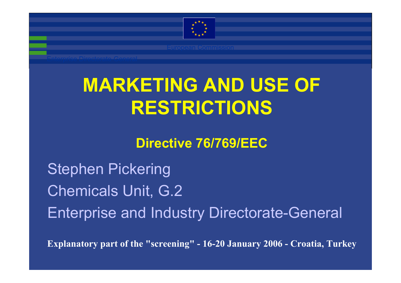

# **MARKETING AND USE OF RESTRICTIONS**

## **Directive 76/769/EEC**

Stephen Pickering Chemicals Unit, G.2 Enterprise and Industry Directorate-General

**Explanatory part of the "screening" - 16-20 January 2006 - Croatia, Turkey**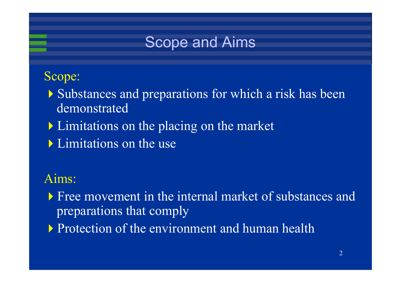

#### Scope:

- Substances and preparations for which a risk has been demonstrated
- **Limitations on the placing on the market**
- Limitations on the use

## Aims:

- Free movement in the internal market of substances and preparations that comply
- **Protection of the environment and human health**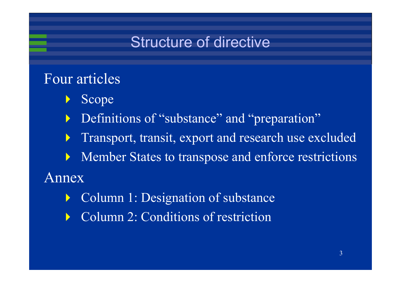# Structure of directive

## Four articles

- $\blacktriangleright$ Scope
- Definitions of "substance" and "preparation"
	- $\blacktriangleright$ Transport, transit, export and research use excluded
	- $\blacktriangleright$ Member States to transpose and enforce restrictions

Annex

- $\blacktriangleright$ Column 1: Designation of substance
- $\blacktriangleright$ Column 2: Conditions of restriction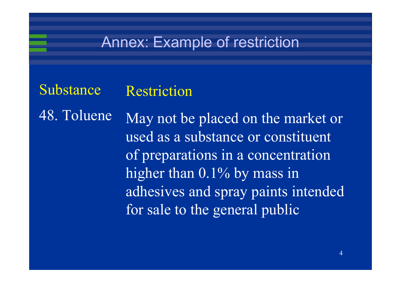## Annex: Example of restriction

Substance Restriction

48. TolueneMay not be placed on the market or used as a substance or constituent of preparations in a concentration higher than 0.1% by mass in adhesives and spray paints intended for sale to the general public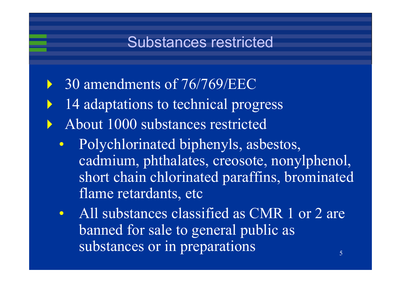# Substances restricted

- $\blacktriangleright$ 30 amendments of 76/769/EEC
- $\blacktriangleright$ 14 adaptations to technical progress
- $\blacktriangleright$  About 1000 substances restricted
	- $\bullet$  Polychlorinated biphenyls, asbestos, cadmium, phthalates, creosote, nonylphenol, short chain chlorinated paraffins, brominated flame retardants, etc
		- 5 $\bullet$ All substances classified as CMR 1 or 2 are banned for sale to general public as substances or in preparations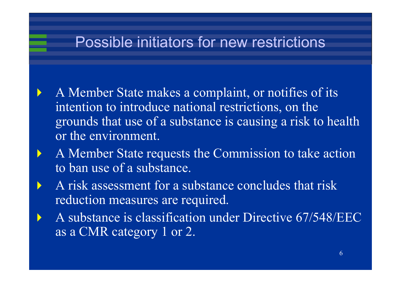# Possible initiators for new restrictions

 A Member State makes a complaint, or notifies of its intention to introduce national restrictions, on the grounds that use of a substance is causing a risk to health or the environment.

 $\blacktriangleright$ 

 $\blacktriangleright$ 

- A Member State requests the Commission to take action to ban use of a substance.
- A risk assessment for a substance concludes that risk reduction measures are required.
- A substance is classification under Directive 67/548/EEC as a CMR category 1 or 2.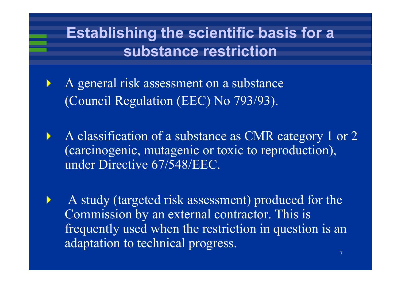# **Establishing the scientific basis for a substance restriction**

 $\blacktriangleright$  A general risk assessment on a substance (Council Regulation (EEC) No 793/93).

 $\blacktriangleright$ 

 $\blacktriangleright$  A classification of a substance as CMR category 1 or 2 (carcinogenic, mutagenic or toxic to reproduction), under Directive 67/548/EEC.

 A study (targeted risk assessment) produced for the Commission by an external contractor. This is frequently used when the restriction in question is an adaptation to technical progress.